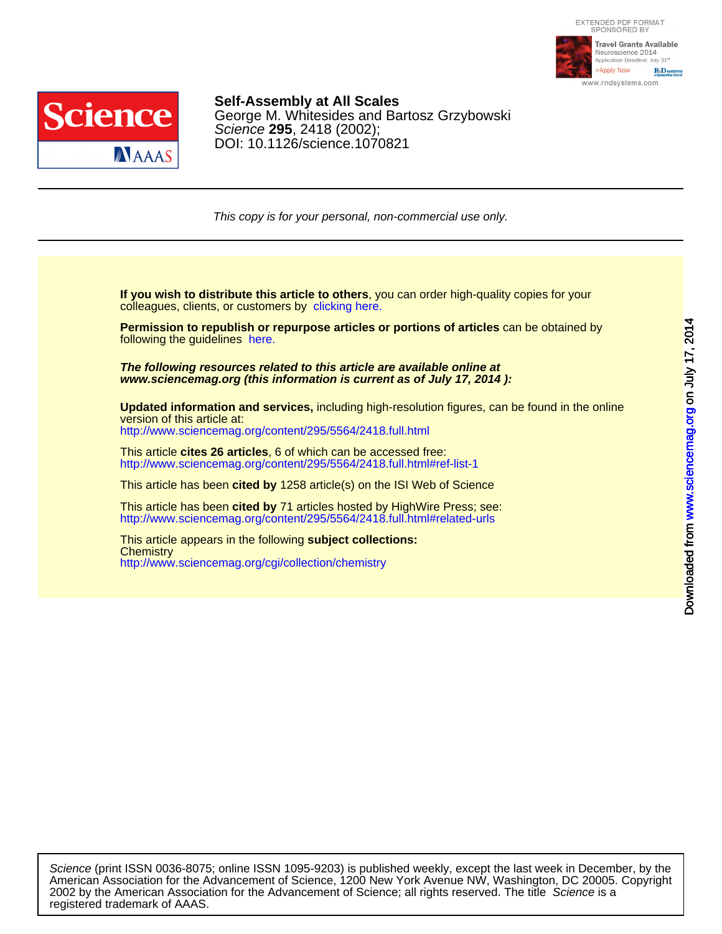



registered trademark of AAAS.

DOI: 10.1126/science.1070821 Science **295**, 2418 (2002); George M. Whitesides and Bartosz Grzybowski **Self-Assembly at All Scales**

This copy is for your personal, non-commercial use only.

colleagues, clients, or customers by [clicking here.](http://www.sciencemag.org/about/permissions.dtl) **If you wish to distribute this article to others**, you can order high-quality copies for your

following the guidelines [here.](http://www.sciencemag.org/about/permissions.dtl) **Permission to republish or repurpose articles or portions of articles** can be obtained by

**www.sciencemag.org (this information is current as of July 17, 2014 ): The following resources related to this article are available online at**

<http://www.sciencemag.org/content/295/5564/2418.full.html> version of this article at: **Updated information and services,** including high-resolution figures, can be found in the online

<http://www.sciencemag.org/content/295/5564/2418.full.html#ref-list-1> This article **cites 26 articles**, 6 of which can be accessed free:

This article has been **cited by** 1258 article(s) on the ISI Web of Science

<http://www.sciencemag.org/content/295/5564/2418.full.html#related-urls> This article has been **cited by** 71 articles hosted by HighWire Press; see:

<http://www.sciencemag.org/cgi/collection/chemistry> **Chemistry** This article appears in the following **subject collections:**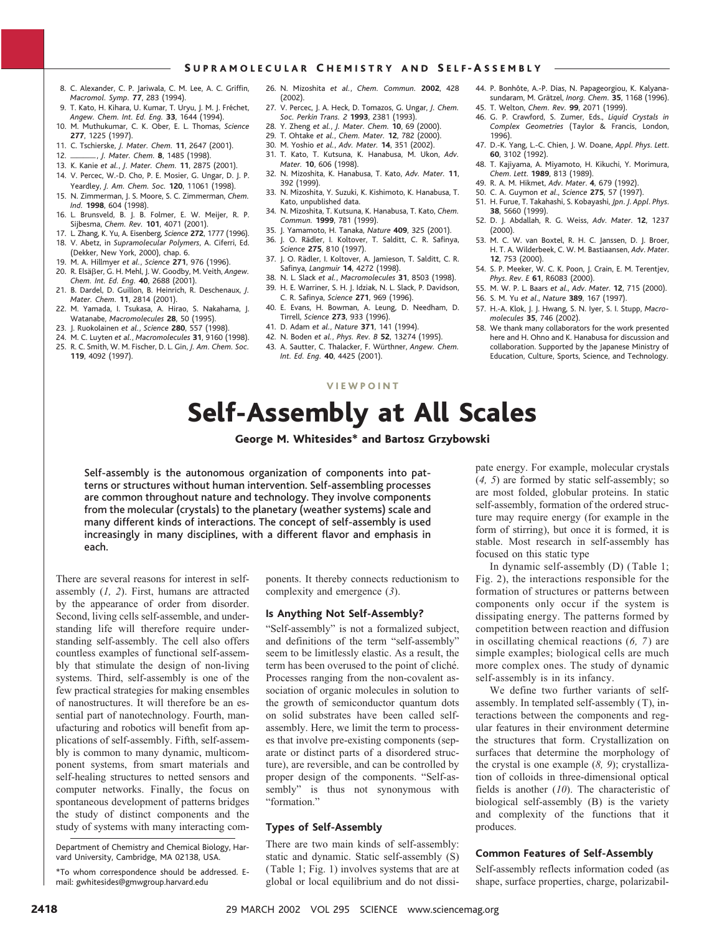### SUPRAMOLECULAR CHEMISTRY AND SELF-ASSEMBLY

- 8. C. Alexander, C. P. Jariwala, C. M. Lee, A. C. Griffin, *Macromol. Symp.* **77**, 283 (1994).
- 9. T. Kato, H. Kihara, U. Kumar, T. Uryu, J. M. J. Fréchet,
- *Angew. Chem. Int. Ed. Eng.* **33**, 1644 (1994). 10. M. Muthukumar, C. K. Ober, E. L. Thomas, *Science*
- **277**, 1225 (1997).
- 11. C. Tschierske, *J. Mater. Chem.* **11**, 2647 (2001). <sub>1</sub>, J. Mater. Chem. **8**, 1485 (1998).
- 13. K. Kanie *et al.*, *J. Mater. Chem.* **11**, 2875 (2001).
- 14. V. Percec, W.-D. Cho, P. E. Mosier, G. Ungar, D. J. P. Yeardley, *J. Am. Chem. Soc.* **120**, 11061 (1998).
- 15. N. Zimmerman, J. S. Moore, S. C. Zimmerman, *Chem. Ind.* **1998**, 604 (1998).
- 16. L. Brunsveld, B. J. B. Folmer, E. W. Meijer, R. P. Sijbesma, *Chem. Rev.* **101**, 4071 (2001).
- 17. L. Zhang, K. Yu, A. Eisenberg, *Science* **272**, 1777 (1996). 18. V. Abetz, in *Supramolecular Polymers*, A. Ciferri, Ed.
- (Dekker, New York, 2000), chap. 6.
- 19. M. A. Hillmyer *et al.*, *Science* **271**, 976 (1996).
- 20. R. Elsäßer, G. H. Mehl, J. W. Goodby, M. Veith, *Angew. Chem. Int. Ed. Eng.* **40**, 2688 (2001).
- 21. B. Dardel, D. Guillon, B. Heinrich, R. Deschenaux, *J. Mater. Chem.* **11**, 2814 (2001).
- 22. M. Yamada, I. Tsukasa, A. Hirao, S. Nakahama, J. Watanabe, *Macromolecules* **28**, 50 (1995).
- 23. J. Ruokolainen *et al.*, *Science* **280**, 557 (1998).
- 24. M. C. Luyten *et al.*, *Macromolecules* **31**, 9160 (1998).
- 25. R. C. Smith, W. M. Fischer, D. L. Gin, *J. Am. Chem. Soc.* **119**, 4092 (1997).
- 26. N. Mizoshita *et al.*, *Chem. Commun.* **2002**, 428 (2002).
- 27. V. Percec, J. A. Heck, D. Tomazos, G. Ungar, *J. Chem. Soc. Perkin Trans. 2* **1993**, 2381 (1993).
- 28. Y. Zheng *et al.*, *J. Mater. Chem.* **10**, 69 (2000).
- 29. T. Ohtake *et al.*, *Chem. Mater.* **12**, 782 (2000).
- 30. M. Yoshio *et al.*, *Adv. Mater.* **14**, 351 (2002).
- 31. T. Kato, T. Kutsuna, K. Hanabusa, M. Ukon, *Adv. Mater.* **10**, 606 (1998).
- 32. N. Mizoshita, K. Hanabusa, T. Kato, *Adv. Mater.* **11**, 392 (1999).
- 33. N. Mizoshita, Y. Suzuki, K. Kishimoto, K. Hanabusa, T. Kato, unpublished data.
- 34. N. Mizoshita, T. Kutsuna, K. Hanabusa, T. Kato, *Chem. Commun.* **1999**, 781 (1999).
- 35. J. Yamamoto, H. Tanaka, *Nature* **409**, 325 (2001). 36. J. O. Rädler, I. Koltover, T. Salditt, C. R. Safinya, *Science* **275**, 810 (1997).
- 37. J. O. Rädler, J. Koltover, A. Jamieson, T. Salditt, C. R.
- Safinya, *Langmuir* **14**, 4272 (1998). 38. N. L. Slack *et al.*, *Macromolecules* **31**, 8503 (1998).
- 39. H. E. Warriner, S. H. J. Idziak, N. L. Slack, P. Davidson, C. R. Safinya, *Science* **271**, 969 (1996).
- 40. E. Evans, H. Bowman, A. Leung, D. Needham, D.
- Tirrell, *Science* **273**, 933 (1996).
- 41. D. Adam *et al.*, *Nature* **371**, 141 (1994).

*Int. Ed. Eng.* **40**, 4425 (2001).

- 42. N. Boden *et al.*, *Phys. Rev. B* **52**, 13274 (1995).
- 43. A. Sautter, C. Thalacker, F. Würthner, Angew. Chem.
	- VIEWPOINT
- 44. P. Bonhôte, A.-P. Dias, N. Papageorgiou, K. Kalyanasundaram, M. Grätzel, *Inorg. Chem.* 35, 1168 (1996).
- 45. T. Welton, *Chem. Rev.* **99**, 2071 (1999).
- 46. G. P. Crawford, S. Zumer, Eds., *Liquid Crystals in Complex Geometries* (Taylor & Francis, London, 1996).
- 47. D.-K. Yang, L.-C. Chien, J. W. Doane, *Appl*. *Phys*. *Lett*. **60**, 3102 (1992).
- 48. T. Kajiyama, A. Miyamoto, H. Kikuchi, Y. Morimura, *Chem*. *Lett*. **1989**, 813 (1989).
- 49. R. A. M. Hikmet, *Adv*. *Mater*. **4**, 679 (1992).
- 50. C. A. Guymon *et al*., *Science* **275**, 57 (1997).
- 51. H. Furue, T. Takahashi, S. Kobayashi, *Jpn*. *J*. *Appl*. *Phys*. **38**, 5660 (1999).
- 52. D. J. Abdallah, R. G. Weiss, *Adv*. *Mater*. **12**, 1237 (2000).
- 53. M. C. W. van Boxtel, R. H. C. Janssen, D. J. Broer, H. T. A. Wilderbeek, C. W. M. Bastiaansen, *Adv*. *Mater*. **12**, 753 (2000).
- 54. S. P. Meeker, W. C. K. Poon, J. Crain, E. M. Terentjev, *Phys*. *Rev*. *E* **61**, R6083 (2000).
- 55. M. W. P. L. Baars *et al*., *Adv*. *Mater*. **12**, 715 (2000).
- 56. S. M. Yu *et al*., *Nature* **389**, 167 (1997).
- 57. H.-A. Klok, J. J. Hwang, S. N. Iyer, S. I. Stupp, *Macromolecules* **35**, 746 (2002).
- 58. We thank many collaborators for the work presented here and H. Ohno and K. Hanabusa for discussion and collaboration. Supported by the Japanese Ministry of Education, Culture, Sports, Science, and Technology.

# Self-Assembly at All Scales

### George M. Whitesides\* and Bartosz Grzybowski

Self-assembly is the autonomous organization of components into patterns or structures without human intervention. Self-assembling processes are common throughout nature and technology. They involve components from the molecular (crystals) to the planetary (weather systems) scale and many different kinds of interactions. The concept of self-assembly is used increasingly in many disciplines, with a different flavor and emphasis in each.

There are several reasons for interest in selfassembly (*1, 2*). First, humans are attracted by the appearance of order from disorder. Second, living cells self-assemble, and understanding life will therefore require understanding self-assembly. The cell also offers countless examples of functional self-assembly that stimulate the design of non-living systems. Third, self-assembly is one of the few practical strategies for making ensembles of nanostructures. It will therefore be an essential part of nanotechnology. Fourth, manufacturing and robotics will benefit from applications of self-assembly. Fifth, self-assembly is common to many dynamic, multicomponent systems, from smart materials and self-healing structures to netted sensors and computer networks. Finally, the focus on spontaneous development of patterns bridges the study of distinct components and the study of systems with many interacting com-

Department of Chemistry and Chemical Biology, Harvard University, Cambridge, MA 02138, USA.

\*To whom correspondence should be addressed. Email: gwhitesides@gmwgroup.harvard.edu

ponents. It thereby connects reductionism to complexity and emergence (*3*).

#### **Is Anything Not Self-Assembly?**

"Self-assembly" is not a formalized subject, and definitions of the term "self-assembly" seem to be limitlessly elastic. As a result, the term has been overused to the point of cliché. Processes ranging from the non-covalent association of organic molecules in solution to the growth of semiconductor quantum dots on solid substrates have been called selfassembly. Here, we limit the term to processes that involve pre-existing components (separate or distinct parts of a disordered structure), are reversible, and can be controlled by proper design of the components. "Self-assembly" is thus not synonymous with "formation."

#### **Types of Self-Assembly**

There are two main kinds of self-assembly: static and dynamic. Static self-assembly (S) (Table 1; Fig. 1) involves systems that are at global or local equilibrium and do not dissipate energy. For example, molecular crystals (*4, 5*) are formed by static self-assembly; so are most folded, globular proteins. In static self-assembly, formation of the ordered structure may require energy (for example in the form of stirring), but once it is formed, it is stable. Most research in self-assembly has focused on this static type

In dynamic self-assembly (D) (Table 1; Fig. 2), the interactions responsible for the formation of structures or patterns between components only occur if the system is dissipating energy. The patterns formed by competition between reaction and diffusion in oscillating chemical reactions (*6, 7*) are simple examples; biological cells are much more complex ones. The study of dynamic self-assembly is in its infancy.

We define two further variants of selfassembly. In templated self-assembly (T), interactions between the components and regular features in their environment determine the structures that form. Crystallization on surfaces that determine the morphology of the crystal is one example (*8, 9*); crystallization of colloids in three-dimensional optical fields is another (*10*). The characteristic of biological self-assembly (B) is the variety and complexity of the functions that it produces.

#### **Common Features of Self-Assembly**

Self-assembly reflects information coded (as shape, surface properties, charge, polarizabil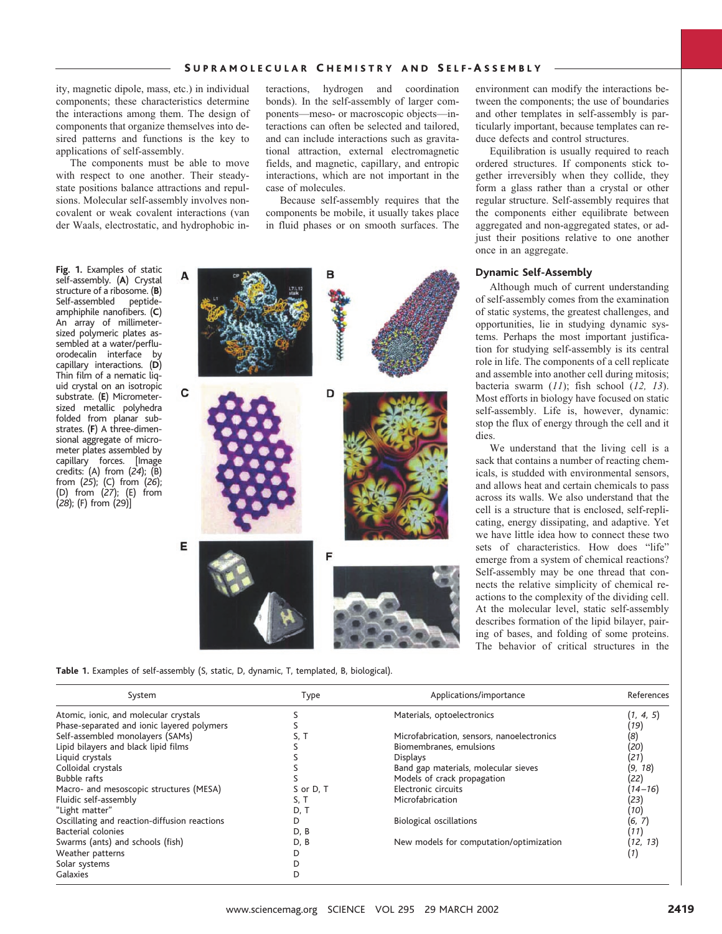ity, magnetic dipole, mass, etc.) in individual components; these characteristics determine the interactions among them. The design of components that organize themselves into desired patterns and functions is the key to applications of self-assembly.

The components must be able to move with respect to one another. Their steadystate positions balance attractions and repulsions. Molecular self-assembly involves noncovalent or weak covalent interactions (van der Waals, electrostatic, and hydrophobic interactions, hydrogen and coordination bonds). In the self-assembly of larger components—meso- or macroscopic objects—interactions can often be selected and tailored, and can include interactions such as gravitational attraction, external electromagnetic fields, and magnetic, capillary, and entropic interactions, which are not important in the case of molecules.

Because self-assembly requires that the components be mobile, it usually takes place in fluid phases or on smooth surfaces. The

**Fig. 1.** Examples of static self-assembly. (**A**) Crystal structure of a ribosome. (**B**) Self-assembled peptideamphiphile nanofibers. (**C**) An array of millimetersized polymeric plates assembled at a water/perfluorodecalin interface by capillary interactions. (**D**) Thin film of a nematic liquid crystal on an isotropic substrate. (**E**) Micrometersized metallic polyhedra folded from planar substrates. (**F**) A three-dimensional aggregate of micrometer plates assembled by capillary forces. [Image credits: (A) from (*24*); (B) from (*25*); (C) from (*26*); (D) from (*27*); (E) from (*28*); (F) from (29)]



environment can modify the interactions between the components; the use of boundaries and other templates in self-assembly is particularly important, because templates can reduce defects and control structures.

Equilibration is usually required to reach ordered structures. If components stick together irreversibly when they collide, they form a glass rather than a crystal or other regular structure. Self-assembly requires that the components either equilibrate between aggregated and non-aggregated states, or adjust their positions relative to one another once in an aggregate.

## **Dynamic Self-Assembly**

Although much of current understanding of self-assembly comes from the examination of static systems, the greatest challenges, and opportunities, lie in studying dynamic systems. Perhaps the most important justification for studying self-assembly is its central role in life. The components of a cell replicate and assemble into another cell during mitosis; bacteria swarm (*11*); fish school (*12, 13*). Most efforts in biology have focused on static self-assembly. Life is, however, dynamic: stop the flux of energy through the cell and it dies.

We understand that the living cell is a sack that contains a number of reacting chemicals, is studded with environmental sensors, and allows heat and certain chemicals to pass across its walls. We also understand that the cell is a structure that is enclosed, self-replicating, energy dissipating, and adaptive. Yet we have little idea how to connect these two sets of characteristics. How does "life" emerge from a system of chemical reactions? Self-assembly may be one thread that connects the relative simplicity of chemical reactions to the complexity of the dividing cell. At the molecular level, static self-assembly describes formation of the lipid bilayer, pairing of bases, and folding of some proteins. The behavior of critical structures in the

**Table 1.** Examples of self-assembly (S, static, D, dynamic, T, templated, B, biological).

| System                                       | Type      | Applications/importance                    | References  |
|----------------------------------------------|-----------|--------------------------------------------|-------------|
| Atomic, ionic, and molecular crystals        |           | Materials, optoelectronics                 | (1, 4, 5)   |
| Phase-separated and ionic layered polymers   |           |                                            | (19)        |
| Self-assembled monolayers (SAMs)             | S, T      | Microfabrication, sensors, nanoelectronics | (8)         |
| Lipid bilayers and black lipid films         |           | Biomembranes, emulsions                    | (20)        |
| Liquid crystals                              |           | <b>Displays</b>                            | (21)        |
| Colloidal crystals                           |           | Band gap materials, molecular sieves       | (9, 18)     |
| Bubble rafts                                 |           | Models of crack propagation                | (22)        |
| Macro- and mesoscopic structures (MESA)      | S or D, T | Electronic circuits                        | $(14 - 16)$ |
| Fluidic self-assembly                        | S, T      | Microfabrication                           | (23)        |
| "Light matter"                               | D, T      |                                            | (10)        |
| Oscillating and reaction-diffusion reactions | D         | <b>Biological oscillations</b>             | (6, 7)      |
| <b>Bacterial colonies</b>                    | D, B      |                                            | (11)        |
| Swarms (ants) and schools (fish)             | D, B      | New models for computation/optimization    | (12, 13)    |
| Weather patterns                             |           |                                            | (1)         |
| Solar systems                                |           |                                            |             |
| Galaxies                                     |           |                                            |             |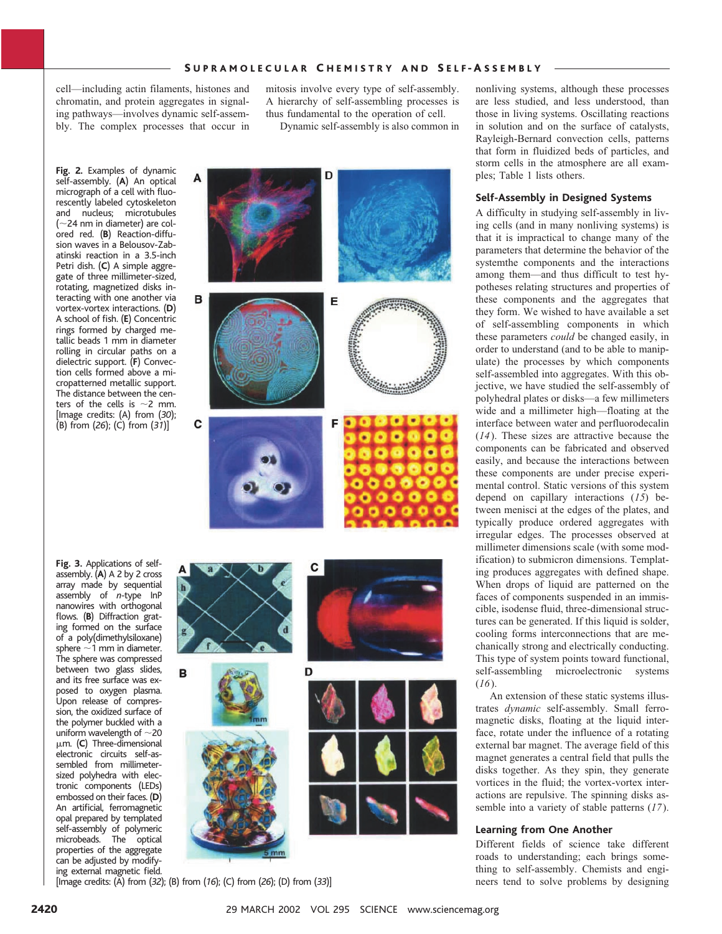cell—including actin filaments, histones and chromatin, and protein aggregates in signaling pathways—involves dynamic self-assembly. The complex processes that occur in mitosis involve every type of self-assembly. A hierarchy of self-assembling processes is thus fundamental to the operation of cell.

Dynamic self-assembly is also common in

**Fig. 2.** Examples of dynamic self-assembly. (**A**) An optical micrograph of a cell with fluorescently labeled cytoskeleton and nucleus; microtubules  $(-24$  nm in diameter) are colored red. (**B**) Reaction-diffusion waves in a Belousov-Zabatinski reaction in a 3.5-inch Petri dish. (**C**) A simple aggregate of three millimeter-sized, rotating, magnetized disks interacting with one another via vortex-vortex interactions. (**D**) A school of fish. (**E**) Concentric rings formed by charged metallic beads 1 mm in diameter rolling in circular paths on a dielectric support. (**F**) Convection cells formed above a micropatterned metallic support. The distance between the centers of the cells is  $\sim$ 2 mm. [Image credits: (A) from (*30*); (B) from (*26*); (C) from (*31*)]



assembly. (**A**) A 2 by 2 cross array made by sequential assembly of *n*-type InP nanowires with orthogonal flows. (**B**) Diffraction grating formed on the surface of a poly(dimethylsiloxane) sphere  $\sim$ 1 mm in diameter. The sphere was compressed between two glass slides, and its free surface was exposed to oxygen plasma. Upon release of compression, the oxidized surface of the polymer buckled with a uniform wavelength of  $\sim$ 20 mm. (**C**) Three-dimensional electronic circuits self-assembled from millimetersized polyhedra with electronic components (LEDs) embossed on their faces. (**D**) An artificial, ferromagnetic opal prepared by templated self-assembly of polymeric microbeads. The optical properties of the aggregate can be adjusted by modifying external magnetic field.

**Fig. 3.** Applications of self-

irregular edges. The processes observed at millimeter dimensions scale (with some modification) to submicron dimensions. Templating produces aggregates with defined shape. When drops of liquid are patterned on the faces of components suspended in an immiscible, isodense fluid, three-dimensional structures can be generated. If this liquid is solder, cooling forms interconnections that are mechanically strong and electrically conducting. This type of system points toward functional, self-assembling microelectronic systems (*16*). An extension of these static systems illus-

trates *dynamic* self-assembly. Small ferromagnetic disks, floating at the liquid interface, rotate under the influence of a rotating external bar magnet. The average field of this magnet generates a central field that pulls the disks together. As they spin, they generate vortices in the fluid; the vortex-vortex interactions are repulsive. The spinning disks assemble into a variety of stable patterns (*17*).

nonliving systems, although these processes are less studied, and less understood, than those in living systems. Oscillating reactions in solution and on the surface of catalysts, Rayleigh-Bernard convection cells, patterns that form in fluidized beds of particles, and storm cells in the atmosphere are all exam-

**Self-Assembly in Designed Systems** A difficulty in studying self-assembly in living cells (and in many nonliving systems) is that it is impractical to change many of the parameters that determine the behavior of the systemthe components and the interactions among them—and thus difficult to test hypotheses relating structures and properties of these components and the aggregates that they form. We wished to have available a set of self-assembling components in which these parameters *could* be changed easily, in order to understand (and to be able to manipulate) the processes by which components self-assembled into aggregates. With this objective, we have studied the self-assembly of polyhedral plates or disks—a few millimeters wide and a millimeter high—floating at the interface between water and perfluorodecalin (*14*). These sizes are attractive because the components can be fabricated and observed easily, and because the interactions between these components are under precise experimental control. Static versions of this system depend on capillary interactions (*15*) between menisci at the edges of the plates, and typically produce ordered aggregates with

ples; Table 1 lists others.

## **Learning from One Another**

Different fields of science take different roads to understanding; each brings something to self-assembly. Chemists and engineers tend to solve problems by designing

[Image credits: (A) from (*32*); (B) from (*16*); (C) from (*26*); (D) from (*33*)]